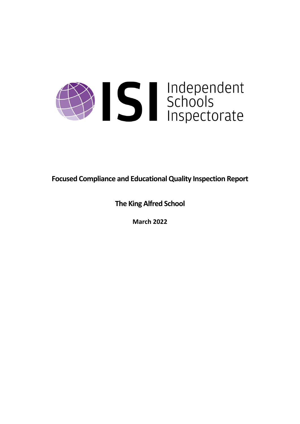

**Focused Compliance and EducationalQuality Inspection Report**

**The King Alfred School**

**March 2022**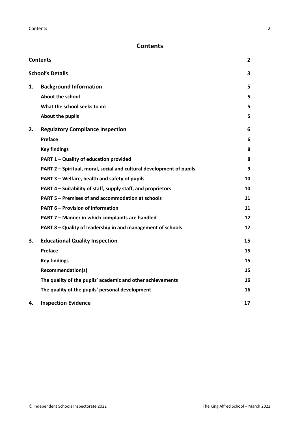# <span id="page-1-0"></span>**Contents**

| <b>Contents</b> |                                                                      | 2  |
|-----------------|----------------------------------------------------------------------|----|
|                 | <b>School's Details</b>                                              | 3  |
| 1.              | <b>Background Information</b>                                        | 5  |
|                 | <b>About the school</b>                                              | 5  |
|                 | What the school seeks to do                                          | 5  |
|                 | About the pupils                                                     | 5  |
| 2.              | <b>Regulatory Compliance Inspection</b>                              | 6  |
|                 | <b>Preface</b>                                                       | 6  |
|                 | <b>Key findings</b>                                                  | 8  |
|                 | PART 1 - Quality of education provided                               | 8  |
|                 | PART 2 - Spiritual, moral, social and cultural development of pupils | 9  |
|                 | PART 3 - Welfare, health and safety of pupils                        | 10 |
|                 | PART 4 - Suitability of staff, supply staff, and proprietors         | 10 |
|                 | <b>PART 5 - Premises of and accommodation at schools</b>             | 11 |
|                 | <b>PART 6 - Provision of information</b>                             | 11 |
|                 | PART 7 - Manner in which complaints are handled                      | 12 |
|                 | PART 8 - Quality of leadership in and management of schools          | 12 |
| З.              | <b>Educational Quality Inspection</b>                                | 15 |
|                 | Preface                                                              | 15 |
|                 | <b>Key findings</b>                                                  | 15 |
|                 | <b>Recommendation(s)</b>                                             | 15 |
|                 | The quality of the pupils' academic and other achievements           | 16 |
|                 | The quality of the pupils' personal development                      | 16 |
| 4.              | <b>Inspection Evidence</b>                                           | 17 |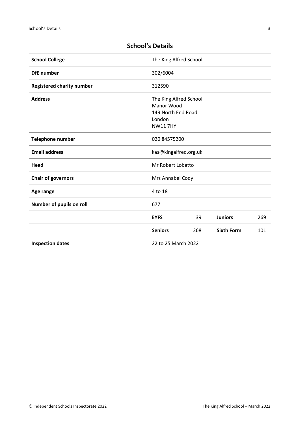| <b>School College</b>            | The King Alfred School                                                                 |                       |                   |     |  |
|----------------------------------|----------------------------------------------------------------------------------------|-----------------------|-------------------|-----|--|
| <b>DfE</b> number                | 302/6004                                                                               |                       |                   |     |  |
| <b>Registered charity number</b> | 312590                                                                                 |                       |                   |     |  |
| <b>Address</b>                   | The King Alfred School<br>Manor Wood<br>149 North End Road<br>London<br><b>NW117HY</b> |                       |                   |     |  |
| Telephone number                 | 020 84575200                                                                           |                       |                   |     |  |
| <b>Email address</b>             |                                                                                        | kas@kingalfred.org.uk |                   |     |  |
| Head                             |                                                                                        | Mr Robert Lobatto     |                   |     |  |
| <b>Chair of governors</b>        |                                                                                        | Mrs Annabel Cody      |                   |     |  |
| Age range                        | 4 to 18                                                                                |                       |                   |     |  |
| Number of pupils on roll         | 677                                                                                    |                       |                   |     |  |
|                                  | <b>EYFS</b>                                                                            | 39                    | <b>Juniors</b>    | 269 |  |
|                                  | <b>Seniors</b>                                                                         | 268                   | <b>Sixth Form</b> | 101 |  |
| <b>Inspection dates</b>          |                                                                                        | 22 to 25 March 2022   |                   |     |  |

# <span id="page-2-0"></span>**School's Details**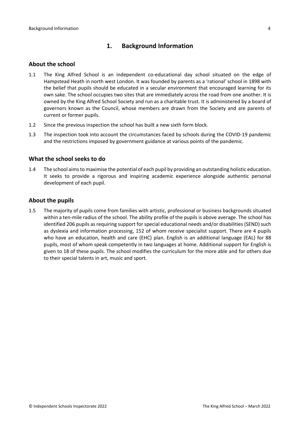# <span id="page-3-0"></span>**1. Background Information**

#### <span id="page-3-1"></span>**About the school**

- 1.1 The King Alfred School is an independent co-educational day school situated on the edge of Hampstead Heath in north west London. It was founded by parents as a 'rational' school in 1898 with the belief that pupils should be educated in a secular environment that encouraged learning for its own sake. The school occupies two sites that are immediately across the road from one another. It is owned by the King Alfred School Society and run as a charitable trust. It is administered by a board of governors known as the Council, whose members are drawn from the Society and are parents of current or former pupils.
- 1.2 Since the previous inspection the school has built a new sixth form block.
- 1.3 The inspection took into account the circumstances faced by schools during the COVID-19 pandemic and the restrictions imposed by government guidance at various points of the pandemic.

#### <span id="page-3-2"></span>**What the school seeks to do**

1.4 The school aimsto maximise the potential of each pupil by providing an outstanding holistic education. It seeks to provide a rigorous and inspiring academic experience alongside authentic personal development of each pupil.

#### <span id="page-3-3"></span>**About the pupils**

1.5 The majority of pupils come from families with artistic, professional or business backgrounds situated within a ten-mile radius of the school. The ability profile of the pupils is above average. The school has identified 206 pupils as requiring support for special educational needs and/or disabilities (SEND) such as dyslexia and information processing, 152 of whom receive specialist support. There are 4 pupils who have an education, health and care (EHC) plan. English is an additional language (EAL) for 88 pupils, most of whom speak competently in two languages at home. Additional support for English is given to 18 of these pupils. The school modifies the curriculum for the more able and for others due to their special talents in art, music and sport.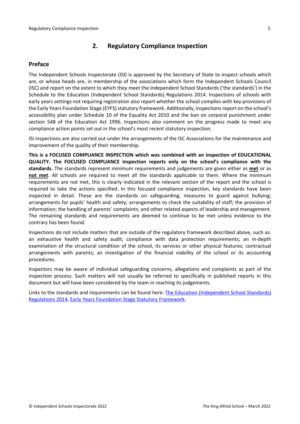# <span id="page-4-0"></span>**2. Regulatory Compliance Inspection**

# <span id="page-4-1"></span>**Preface**

The Independent Schools Inspectorate (ISI) is approved by the Secretary of State to inspect schools which are, or whose heads are, in membership of the associations which form the Independent Schools Council (ISC) and report on the extent to which they meet the Independent School Standards ('the standards') in the Schedule to the Education (Independent School Standards) Regulations 2014. Inspections of schools with early years settings not requiring registration also report whether the school complies with key provisions of the Early Years Foundation Stage (EYFS) statutory framework. Additionally, inspections report on the school's accessibility plan under Schedule 10 of the Equality Act 2010 and the ban on corporal punishment under section 548 of the Education Act 1996. Inspections also comment on the progress made to meet any compliance action points set out in the school's most recent statutory inspection.

ISI inspections are also carried out under the arrangements of the ISC Associations for the maintenance and improvement of the quality of their membership.

**This is a FOCUSED COMPLIANCE INSPECTION which was combined with an inspection of EDUCATIONAL QUALITY. The FOCUSED COMPLIANCE inspection reports only on the school's compliance with the standards.** The standards represent minimum requirements and judgements are given either as **met** or as **not met**. All schools are required to meet all the standards applicable to them. Where the minimum requirements are not met, this is clearly indicated in the relevant section of the report and the school is required to take the actions specified. In this focused compliance inspection, key standards have been inspected in detail. These are the standards on safeguarding; measures to guard against bullying; arrangements for pupils' health and safety; arrangements to check the suitability of staff; the provision of information; the handling of parents' complaints; and other related aspects of leadership and management. The remaining standards and requirements are deemed to continue to be met unless evidence to the contrary has been found.

Inspections do not include matters that are outside of the regulatory framework described above, such as: an exhaustive health and safety audit; compliance with data protection requirements; an in-depth examination of the structural condition of the school, its services or other physical features; contractual arrangements with parents; an investigation of the financial viability of the school or its accounting procedures.

Inspectors may be aware of individual safeguarding concerns, allegations and complaints as part of the inspection process. Such matters will not usually be referred to specifically in published reports in this document but will have been considered by the team in reaching its judgements.

Links to the standards and requirements can be found here: The Education [\(Independent](http://www.legislation.gov.uk/uksi/2014/3283/contents/made) School Standards) [Regulations](http://www.legislation.gov.uk/uksi/2014/3283/contents/made) 2014, Early Years Foundation Stage Statutory [Framework.](https://www.gov.uk/government/publications/early-years-foundation-stage-framework--2)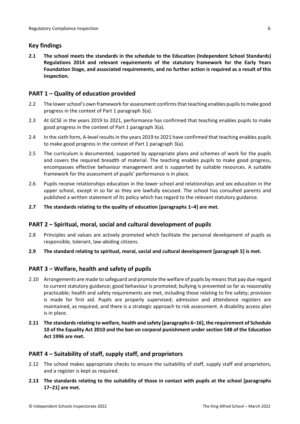# <span id="page-5-0"></span>**Key findings**

**2.1 The school meets the standards in the schedule to the Education (Independent School Standards) Regulations 2014 and relevant requirements of the statutory framework for the Early Years Foundation Stage, and associated requirements, and no further action is required as a result of this inspection.**

# <span id="page-5-1"></span>**PART 1 – Quality of education provided**

- 2.2 The lower school's own framework for assessment confirms that teaching enables pupils to make good progress in the context of Part 1 paragraph 3(a).
- 2.3 At GCSE in the years 2019 to 2021, performance has confirmed that teaching enables pupils to make good progress in the context of Part 1 paragraph 3(a).
- 2.4 In the sixth form, A-level resultsin the years 2019 to 2021 have confirmed that teaching enables pupils to make good progress in the context of Part 1 paragraph 3(a).
- 2.5 The curriculum is documented, supported by appropriate plans and schemes of work for the pupils and covers the required breadth of material. The teaching enables pupils to make good progress, encompasses effective behaviour management and is supported by suitable resources. A suitable framework for the assessment of pupils' performance is in place.
- 2.6 Pupils receive relationships education in the lower school and relationships and sex education in the upper school, except in so far as they are lawfully excused. The school has consulted parents and published a written statement of its policy which has regard to the relevant statutory guidance.
- **2.7 The standards relating to the quality of education [paragraphs 1–4] are met.**

## <span id="page-5-2"></span>**PART 2 – Spiritual, moral, social and cultural development of pupils**

- 2.8 Principles and values are actively promoted which facilitate the personal development of pupils as responsible, tolerant, law-abiding citizens.
- **2.9 The standard relating to spiritual, moral, social and cultural development [paragraph 5] is met.**

## <span id="page-5-3"></span>**PART 3 – Welfare, health and safety of pupils**

- 2.10 Arrangements are made to safeguard and promote the welfare of pupils by meansthat pay due regard to current statutory guidance; good behaviour is promoted; bullying is prevented so far as reasonably practicable; health and safety requirements are met, including those relating to fire safety; provision is made for first aid. Pupils are properly supervised; admission and attendance registers are maintained, as required, and there is a strategic approach to risk assessment. A disability access plan is in place.
- **2.11 The standardsrelating to welfare, health and safety [paragraphs 6–16], the requirement of Schedule 10 of the Equality Act 2010 and the ban on corporal punishment under section 548 of the Education Act 1996 are met.**

## <span id="page-5-4"></span>**PART 4 – Suitability of staff, supply staff, and proprietors**

- 2.12 The school makes appropriate checks to ensure the suitability of staff, supply staff and proprietors, and a register is kept as required.
- **2.13 The standards relating to the suitability of those in contact with pupils at the school [paragraphs 17–21] are met.**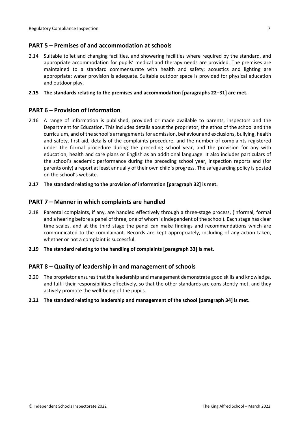# <span id="page-6-0"></span>**PART 5 – Premises of and accommodation at schools**

2.14 Suitable toilet and changing facilities, and showering facilities where required by the standard, and appropriate accommodation for pupils' medical and therapy needs are provided. The premises are maintained to a standard commensurate with health and safety; acoustics and lighting are appropriate; water provision is adequate. Suitable outdoor space is provided for physical education and outdoor play.

#### **2.15 The standards relating to the premises and accommodation [paragraphs 22–31] are met.**

## <span id="page-6-1"></span>**PART 6 – Provision of information**

- 2.16 A range of information is published, provided or made available to parents, inspectors and the Department for Education. This includes details about the proprietor, the ethos of the school and the curriculum, and of the school's arrangementsfor admission, behaviour and exclusions, bullying, health and safety, first aid, details of the complaints procedure, and the number of complaints registered under the formal procedure during the preceding school year, and the provision for any with education, health and care plans or English as an additional language. It also includes particulars of the school's academic performance during the preceding school year, inspection reports and (for parents only) a report at least annually of their own child's progress. The safeguarding policy is posted on the school's website.
- **2.17 The standard relating to the provision of information [paragraph 32] is met.**

#### <span id="page-6-2"></span>**PART 7 – Manner in which complaints are handled**

- 2.18 Parental complaints, if any, are handled effectively through a three-stage process, (informal, formal and a hearing before a panel of three, one of whom is independent of the school). Each stage has clear time scales, and at the third stage the panel can make findings and recommendations which are communicated to the complainant. Records are kept appropriately, including of any action taken, whether or not a complaint is successful.
- **2.19 The standard relating to the handling of complaints [paragraph 33] is met.**

## <span id="page-6-3"></span>**PART 8 – Quality of leadership in and management of schools**

- 2.20 The proprietor ensures that the leadership and management demonstrate good skills and knowledge, and fulfil their responsibilities effectively, so that the other standards are consistently met, and they actively promote the well-being of the pupils.
- **2.21 The standard relating to leadership and management of the school [paragraph 34] is met.**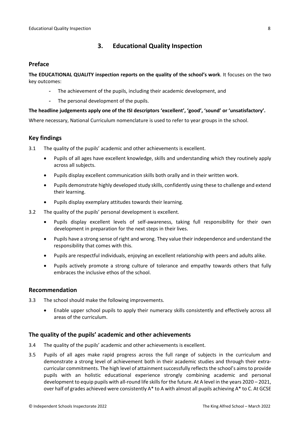# <span id="page-7-0"></span>**3. Educational Quality Inspection**

### <span id="page-7-1"></span>**Preface**

**The EDUCATIONAL QUALITY inspection reports on the quality of the school's work**. It focuses on the two key outcomes:

- The achievement of the pupils, including their academic development, and
- The personal development of the pupils.

#### **The headline judgements apply one of the ISI descriptors 'excellent', 'good', 'sound' or 'unsatisfactory'.**

Where necessary, National Curriculum nomenclature is used to refer to year groups in the school.

# **Key findings**

- 3.1 The quality of the pupils' academic and other achievements is excellent.
	- Pupils of all ages have excellent knowledge, skills and understanding which they routinely apply across all subjects.
	- Pupils display excellent communication skills both orally and in their written work.
	- Pupils demonstrate highly developed study skills, confidently using these to challenge and extend their learning.
	- Pupils display exemplary attitudes towards their learning.
- 3.2 The quality of the pupils' personal development is excellent.
	- Pupils display excellent levels of self-awareness, taking full responsibility for their own development in preparation for the next steps in their lives.
	- Pupils have a strong sense of right and wrong. They value their independence and understand the responsibility that comes with this.
	- Pupils are respectful individuals, enjoying an excellent relationship with peers and adults alike.
	- Pupils actively promote a strong culture of tolerance and empathy towards others that fully embraces the inclusive ethos of the school.

#### <span id="page-7-2"></span>**Recommendation**

- 3.3 The school should make the following improvements.
	- Enable upper school pupils to apply their numeracy skills consistently and effectively across all areas of the curriculum.

## <span id="page-7-3"></span>**The quality of the pupils' academic and other achievements**

- 3.4 The quality of the pupils' academic and other achievements is excellent.
- 3.5 Pupils of all ages make rapid progress across the full range of subjects in the curriculum and demonstrate a strong level of achievement both in their academic studies and through their extracurricular commitments. The high level of attainment successfully reflects the school's aims to provide pupils with an holistic educational experience strongly combining academic and personal development to equip pupils with all-round life skills for the future. At A level in the years 2020 – 2021, over half of grades achieved were consistently  $A^*$  to A with almost all pupils achieving  $A^*$  to C. At GCSE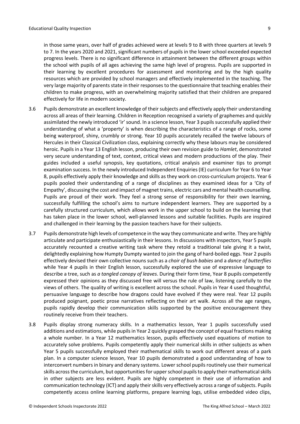in those same years, over half of grades achieved were at levels 9 to 8 with three quarters at levels 9 to 7. In the years 2020 and 2021, significant numbers of pupils in the lower school exceeded expected progress levels. There is no significant difference in attainment between the different groups within the school with pupils of all ages achieving the same high level of progress. Pupils are supported in their learning by excellent procedures for assessment and monitoring and by the high quality resources which are provided by school managers and effectively implemented in the teaching. The very large majority of parents state in their responses to the questionnaire that teaching enables their children to make progress, with an overwhelming majority satisfied that their children are prepared effectively for life in modern society.

- 3.6 Pupils demonstrate an excellent knowledge of their subjects and effectively apply their understanding across all areas of their learning. Children in Reception recognised a variety of graphemes and quickly assimilated the newly introduced 'ir' sound. In a science lesson, Year 3 pupils successfully applied their understanding of what a 'property' is when describing the characteristics of a range of rocks, some being waterproof, shiny, crumbly or strong. Year 10 pupils accurately recalled the twelve labours of Hercules in their Classical Civilization class, explaining correctly why these labours may be considered heroic. Pupils in a Year 13 English lesson, producing their own revision guide to *Hamlet*, demonstrated very secure understanding of text, context, critical views and modern productions of the play. Their guides included a useful synopsis, key quotations, critical analysis and examiner tips to prompt examination success. In the newly introduced Independent Enquiries (IE) curriculum for Year 6 to Year 8, pupils effectively apply their knowledge and skills as they work on cross-curriculum projects. Year 6 pupils pooled their understanding of a range of disciplines as they examined ideas for a 'City of Empathy', discussing the cost and impact of magnet trains, electric cars and mental health counselling. Pupils are proud of their work. They feel a strong sense of responsibility for their own learning, successfully fulfilling the school's aims to nurture independent learners. They are supported by a carefully structured curriculum, which allows work in the upper school to build on the learning that has taken place in the lower school, well-planned lessons and suitable facilities. Pupils are inspired and challenged in their learning by the passion teachers have for their subjects.
- 3.7 Pupils demonstrate high levels of competence in the way they communicate and write. They are highly articulate and participate enthusiastically in their lessons. In discussions with inspectors, Year 5 pupils accurately recounted a creative writing task where they retold a traditional tale giving it a twist, delightedly explaining how Humpty Dumpty wanted to join the gang of hard-boiled eggs. Year 2 pupils effectively devised their own collective nouns such as a *choir of bush babies* and a *dance of butterflies* while Year 4 pupils in their English lesson, successfully explored the use of expressive language to describe a tree, such as *a tangled canopy of leaves*. During their form time, Year 8 pupils competently expressed their opinions as they discussed free will versus the rule of law, listening carefully to the views of others. The quality of writing is excellent across the school. Pupils in Year 4 used thoughtful, persuasive language to describe how dragons could have evolved if they were real. Year 12 pupils produced poignant, poetic prose narratives reflecting on their art walk. Across all the age ranges, pupils rapidly develop their communication skills supported by the positive encouragement they routinely receive from their teachers.
- 3.8 Pupils display strong numeracy skills. In a mathematics lesson, Year 1 pupils successfully used additions and estimations, while pupils in Year 2 quickly grasped the concept of equal fractions making a whole number. In a Year 12 mathematics lesson, pupils effectively used equations of motion to accurately solve problems. Pupils competently apply their numerical skills in other subjects as when Year 5 pupils successfully employed their mathematical skills to work out different areas of a park plan. In a computer science lesson, Year 10 pupils demonstrated a good understanding of how to interconvert numbers in binary and denary systems. Lower school pupils routinely use their numerical skills across the curriculum, but opportunities for upper school pupils to apply their mathematical skills in other subjects are less evident. Pupils are highly competent in their use of information and communication technology (ICT) and apply their skills very effectively across a range of subjects. Pupils competently access online learning platforms, prepare learning logs, utilise embedded video clips,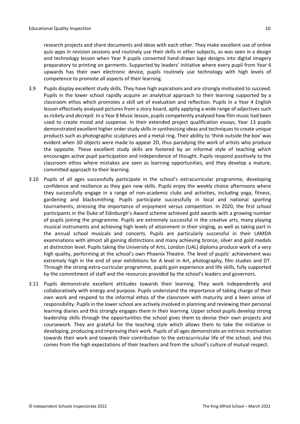research projects and share documents and ideas with each other. They make excellent use of online quiz apps in revision sessions and routinely use their skills in other subjects, as was seen in a design and technology lesson when Year 9 pupils converted hand-drawn logo designs into digital imagery preparatory to printing on garments. Supported by leaders' initiative where every pupil from Year 6 upwards has their own electronic device, pupils routinely use technology with high levels of competence to promote all aspects of their learning.

- 3.9 Pupils display excellent study skills. They have high aspirations and are strongly motivated to succeed. Pupils in the lower school rapidly acquire an analytical approach to their learning supported by a classroom ethos which promotes a skill set of evaluation and reflection. Pupils in a Year 4 English lesson effectively analysed pictures from a story board, aptly applying a wide range of adjectives such as*rickety* and *decrepit.* In a Year 8 Music lesson, pupils competently analysed how film music had been used to create mood and suspense. In their extended project qualification essays, Year 13 pupils demonstrated excellent higher order study skills in synthesising ideas and techniques to create unique products such as photographic sculptures and a metal ring. Their ability to 'think outside the box' was evident when 3D objects were made to appear 2D, thus parodying the work of artists who produce the opposite. These excellent study skills are fostered by an informal style of teaching which encourages active pupil participation and independence of thought. Pupils respond positively to the classroom ethos where mistakes are seen as learning opportunities, and they develop a mature, committed approach to their learning.
- 3.10 Pupils of all ages successfully participate in the school's extracurricular programme, developing confidence and resilience as they gain new skills. Pupils enjoy the weekly choice afternoons where they successfully engage in a range of non-academic clubs and activities, including yoga, fitness, gardening and blacksmithing. Pupils participate successfully in local and national sporting tournaments, stressing the importance of enjoyment versus competition. In 2020, the first school participants in the Duke of Edinburgh's Award scheme achieved gold awards with a growing number of pupils joining the programme. Pupils are extremely successful in the creative arts, many playing musical instruments and achieving high levels of attainment in their singing, as well as taking part in the annual school musicals and concerts. Pupils are particularly successful in their LAMDA examinations with almost all gaining distinctions and many achieving bronze, silver and gold medals at distinction level. Pupils taking the University of Arts, London (UAL) diploma produce work of a very high quality, performing at the school's own Phoenix Theatre. The level of pupils' achievement was extremely high in the end of year exhibitions for A level in Art, photography, film studies and DT. Through the strong extra-curricular programme, pupils gain experience and life skills, fully supported by the commitment of staff and the resources provided by the school's leaders and governors.
- 3.11 Pupils demonstrate excellent attitudes towards their learning. They work independently and collaboratively with energy and purpose. Pupils understand the importance of taking charge of their own work and respond to the informal ethos of the classroom with maturity and a keen sense of responsibility. Pupils in the lower school are actively involved in planning and reviewing their personal learning diaries and this strongly engages them in their learning. Upper school pupils develop strong leadership skills through the opportunities the school gives them to devise their own projects and coursework. They are grateful for the teaching style which allows them to take the initiative in developing, producing and improving their work. Pupils of all ages demonstrate an intrinsic motivation towards their work and towards their contribution to the extracurricular life of the school, and this comes from the high expectations of their teachers and from the school's culture of mutual respect.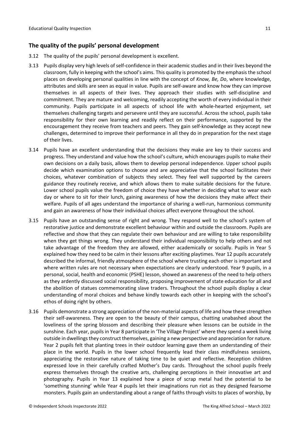# <span id="page-10-0"></span>**The quality of the pupils' personal development**

- 3.12 The quality of the pupils' personal development is excellent.
- 3.13 Pupils display very high levels of self-confidence in their academic studies and in their lives beyond the classroom, fully in keeping with the school's aims. This quality is promoted by the emphasis the school places on developing personal qualities in line with the concept of *Know, Be, Do*, where knowledge, attributes and skills are seen as equal in value. Pupils are self-aware and know how they can improve themselves in all aspects of their lives. They approach their studies with self-discipline and commitment. They are mature and welcoming, readily accepting the worth of every individual in their community. Pupils participate in all aspects of school life with whole-hearted enjoyment, set themselves challenging targets and persevere until they are successful. Across the school, pupils take responsibility for their own learning and readily reflect on their performance, supported by the encouragement they receive from teachers and peers. They gain self-knowledge as they accept new challenges, determined to improve their performance in all they do in preparation for the next stage of their lives.
- 3.14 Pupils have an excellent understanding that the decisions they make are key to their success and progress. They understand and value how the school's culture, which encourages pupils to make their own decisions on a daily basis, allows them to develop personal independence. Upper school pupils decide which examination options to choose and are appreciative that the school facilitates their choices, whatever combination of subjects they select. They feel well supported by the careers guidance they routinely receive, and which allows them to make suitable decisions for the future. Lower school pupils value the freedom of choice they have whether in deciding what to wear each day or where to sit for their lunch, gaining awareness of how the decisions they make affect their welfare. Pupils of all ages understand the importance of sharing a well-run, harmonious community and gain an awareness of how their individual choices affect everyone throughout the school.
- 3.15 Pupils have an outstanding sense of right and wrong. They respond well to the school's system of restorative justice and demonstrate excellent behaviour within and outside the classroom. Pupils are reflective and show that they can regulate their own behaviour and are willing to take responsibility when they get things wrong. They understand their individual responsibility to help others and not take advantage of the freedom they are allowed, either academically or socially. Pupils in Year 5 explained how they need to be calm in their lessons after exciting playtimes. Year 12 pupils accurately described the informal, friendly atmosphere of the school where trusting each other is important and where written rules are not necessary when expectations are clearly understood. Year 9 pupils, in a personal, social, health and economic (PSHE) lesson, showed an awareness of the need to help others as they ardently discussed social responsibility, proposing improvement of state education for all and the abolition of statues commemorating slave traders. Throughout the school pupils display a clear understanding of moral choices and behave kindly towards each other in keeping with the school's ethos of doing right by others.
- 3.16 Pupils demonstrate a strong appreciation of the non-material aspects of life and how these strengthen their self-awareness. They are open to the beauty of their campus, chatting unabashed about the loveliness of the spring blossom and describing their pleasure when lessons can be outside in the sunshine. Each year, pupils in Year 8 participate in 'The Village Project' where they spend a week living outside in dwellings they construct themselves, gaining a new perspective and appreciation for nature. Year 2 pupils felt that planting trees in their outdoor learning gave them an understanding of their place in the world. Pupils in the lower school frequently lead their class mindfulness sessions, appreciating the restorative nature of taking time to be quiet and reflective. Reception children expressed love in their carefully crafted Mother's Day cards. Throughout the school pupils freely express themselves through the creative arts, challenging perceptions in their innovative art and photography. Pupils in Year 13 explained how a piece of scrap metal had the potential to be 'something stunning' while Year 4 pupils let their imaginations run riot as they designed fearsome monsters. Pupils gain an understanding about a range of faiths through visits to places of worship, by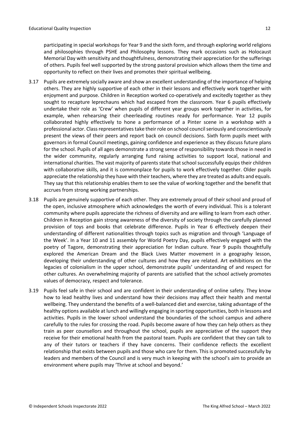participating in special workshops for Year 9 and the sixth form, and through exploring world religions and philosophies through PSHE and Philosophy lessons. They mark occasions such as Holocaust Memorial Day with sensitivity and thoughtfulness, demonstrating their appreciation for the sufferings of others. Pupils feel well supported by the strong pastoral provision which allows them the time and opportunity to reflect on their lives and promotes their spiritual wellbeing.

- 3.17 Pupils are extremely socially aware and show an excellent understanding of the importance of helping others. They are highly supportive of each other in their lessons and effectively work together with enjoyment and purpose. Children in Reception worked co-operatively and excitedly together as they sought to recapture leprechauns which had escaped from the classroom. Year 6 pupils effectively undertake their role as 'Crew' when pupils of different year groups work together in activities, for example, when rehearsing their cheerleading routines ready for performance. Year 12 pupils collaborated highly effectively to hone a performance of a Pinter scene in a workshop with a professional actor. Class representatives take their role on school council seriously and conscientiously present the views of their peers and report back on council decisions. Sixth form pupils meet with governors in formal Council meetings, gaining confidence and experience as they discuss future plans for the school. Pupils of all ages demonstrate a strong sense of responsibility towards those in need in the wider community, regularly arranging fund raising activities to support local, national and international charities. The vast majority of parents state that school successfully equips their children with collaborative skills, and it is commonplace for pupils to work effectively together. Older pupils appreciate the relationship they have with their teachers, where they are treated as adults and equals. They say that this relationship enables them to see the value of working together and the benefit that accrues from strong working partnerships.
- 3.18 Pupils are genuinely supportive of each other. They are extremely proud of their school and proud of the open, inclusive atmosphere which acknowledges the worth of every individual. This is a tolerant community where pupils appreciate the richness of diversity and are willing to learn from each other. Children in Reception gain strong awareness of the diversity of society through the carefully planned provision of toys and books that celebrate difference. Pupils in Year 6 effectively deepen their understanding of different nationalities through topics such as migration and through 'Language of the Week'. In a Year 10 and 11 assembly for World Poetry Day, pupils effectively engaged with the poetry of Tagore, demonstrating their appreciation for Indian culture. Year 9 pupils thoughtfully explored the American Dream and the Black Lives Matter movement in a geography lesson, developing their understanding of other cultures and how they are related. Art exhibitions on the legacies of colonialism in the upper school, demonstrate pupils' understanding of and respect for other cultures. An overwhelming majority of parents are satisfied that the school actively promotes values of democracy, respect and tolerance.
- 3.19 Pupils feel safe in their school and are confident in their understanding of online safety. They know how to lead healthy lives and understand how their decisions may affect their health and mental wellbeing. They understand the benefits of a well-balanced diet and exercise, taking advantage of the healthy options available at lunch and willingly engaging in sporting opportunities, both in lessons and activities. Pupils in the lower school understand the boundaries of the school campus and adhere carefully to the rules for crossing the road. Pupils become aware of how they can help others as they train as peer counsellors and throughout the school, pupils are appreciative of the support they receive for their emotional health from the pastoral team. Pupils are confident that they can talk to any of their tutors or teachers if they have concerns. Their confidence reflects the excellent relationship that exists between pupils and those who care for them. This is promoted successfully by leaders and members of the Council and is very much in keeping with the school's aim to provide an environment where pupils may 'Thrive at school and beyond.'